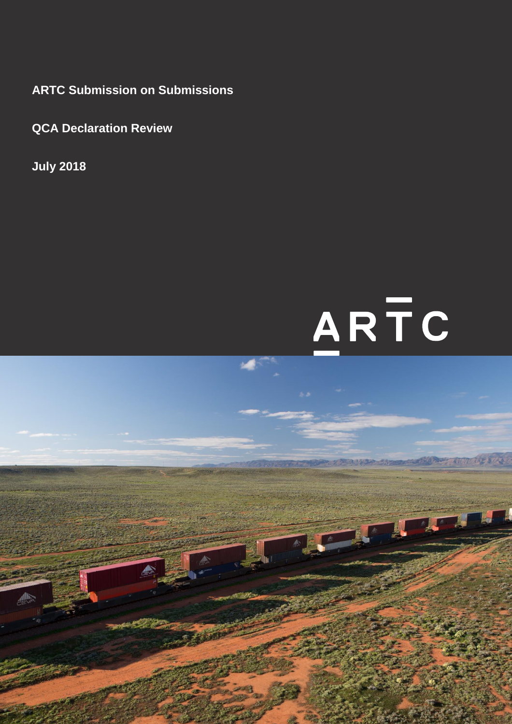**ARTC Submission on Submissions**

**QCA Declaration Review**

**July 2018**

# ARTC

Page 1 of 9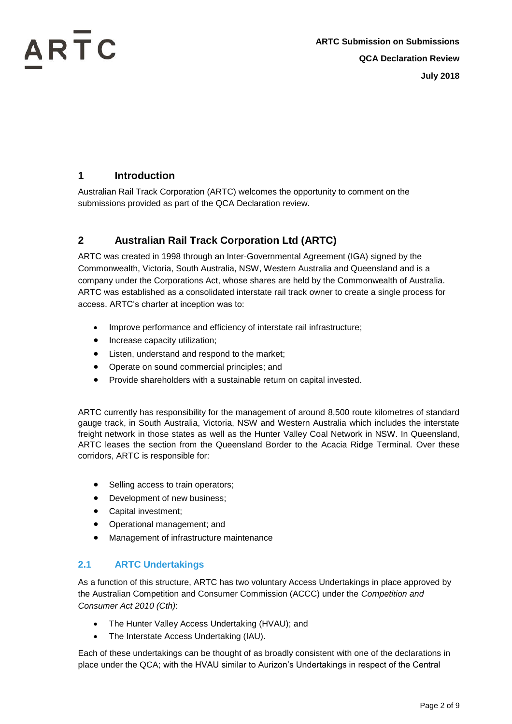### **1 Introduction**

Australian Rail Track Corporation (ARTC) welcomes the opportunity to comment on the submissions provided as part of the QCA Declaration review.

### **2 Australian Rail Track Corporation Ltd (ARTC)**

ARTC was created in 1998 through an Inter-Governmental Agreement (IGA) signed by the Commonwealth, Victoria, South Australia, NSW, Western Australia and Queensland and is a company under the Corporations Act, whose shares are held by the Commonwealth of Australia. ARTC was established as a consolidated interstate rail track owner to create a single process for access. ARTC's charter at inception was to:

- Improve performance and efficiency of interstate rail infrastructure;
- Increase capacity utilization;
- Listen, understand and respond to the market;
- Operate on sound commercial principles; and
- Provide shareholders with a sustainable return on capital invested.

ARTC currently has responsibility for the management of around 8,500 route kilometres of standard gauge track, in South Australia, Victoria, NSW and Western Australia which includes the interstate freight network in those states as well as the Hunter Valley Coal Network in NSW. In Queensland, ARTC leases the section from the Queensland Border to the Acacia Ridge Terminal. Over these corridors, ARTC is responsible for:

- Selling access to train operators;
- Development of new business;
- Capital investment;
- Operational management; and
- Management of infrastructure maintenance

### **2.1 ARTC Undertakings**

As a function of this structure, ARTC has two voluntary Access Undertakings in place approved by the Australian Competition and Consumer Commission (ACCC) under the *Competition and Consumer Act 2010 (Cth)*:

- The Hunter Valley Access Undertaking (HVAU); and
- The Interstate Access Undertaking (IAU).

Each of these undertakings can be thought of as broadly consistent with one of the declarations in place under the QCA; with the HVAU similar to Aurizon's Undertakings in respect of the Central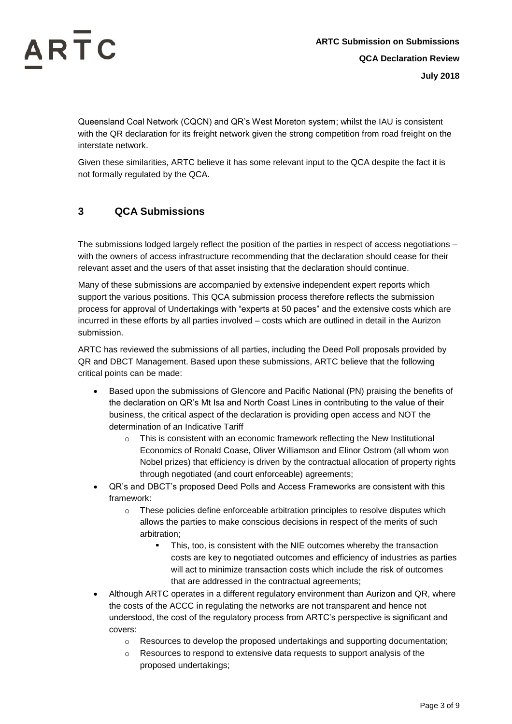Queensland Coal Network (CQCN) and QR's West Moreton system; whilst the IAU is consistent with the QR declaration for its freight network given the strong competition from road freight on the interstate network.

Given these similarities, ARTC believe it has some relevant input to the QCA despite the fact it is not formally regulated by the QCA.

### **3 QCA Submissions**

The submissions lodged largely reflect the position of the parties in respect of access negotiations – with the owners of access infrastructure recommending that the declaration should cease for their relevant asset and the users of that asset insisting that the declaration should continue.

Many of these submissions are accompanied by extensive independent expert reports which support the various positions. This QCA submission process therefore reflects the submission process for approval of Undertakings with "experts at 50 paces" and the extensive costs which are incurred in these efforts by all parties involved – costs which are outlined in detail in the Aurizon submission.

ARTC has reviewed the submissions of all parties, including the Deed Poll proposals provided by QR and DBCT Management. Based upon these submissions, ARTC believe that the following critical points can be made:

- Based upon the submissions of Glencore and Pacific National (PN) praising the benefits of the declaration on QR's Mt Isa and North Coast Lines in contributing to the value of their business, the critical aspect of the declaration is providing open access and NOT the determination of an Indicative Tariff
	- $\circ$  This is consistent with an economic framework reflecting the New Institutional Economics of Ronald Coase, Oliver Williamson and Elinor Ostrom (all whom won Nobel prizes) that efficiency is driven by the contractual allocation of property rights through negotiated (and court enforceable) agreements;
- QR's and DBCT's proposed Deed Polls and Access Frameworks are consistent with this framework:
	- $\circ$  These policies define enforceable arbitration principles to resolve disputes which allows the parties to make conscious decisions in respect of the merits of such arbitration;
		- This, too, is consistent with the NIE outcomes whereby the transaction costs are key to negotiated outcomes and efficiency of industries as parties will act to minimize transaction costs which include the risk of outcomes that are addressed in the contractual agreements;
- Although ARTC operates in a different regulatory environment than Aurizon and QR, where the costs of the ACCC in regulating the networks are not transparent and hence not understood, the cost of the regulatory process from ARTC's perspective is significant and covers:
	- o Resources to develop the proposed undertakings and supporting documentation;
	- o Resources to respond to extensive data requests to support analysis of the proposed undertakings;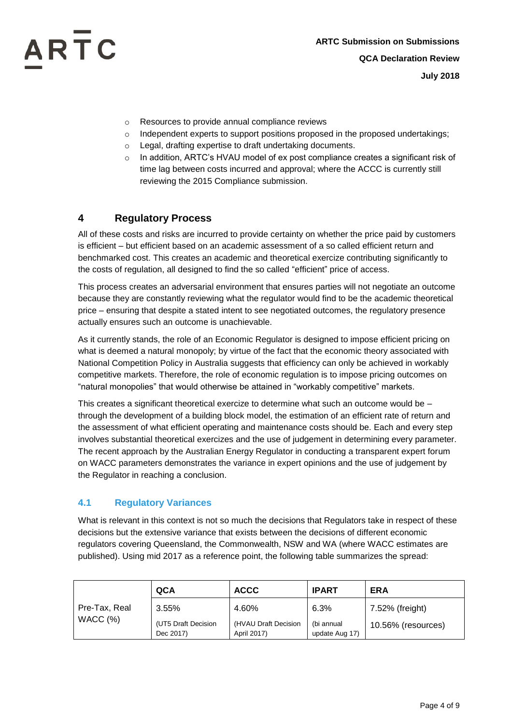- o Resources to provide annual compliance reviews
- $\circ$  Independent experts to support positions proposed in the proposed undertakings;
- o Legal, drafting expertise to draft undertaking documents.
- $\circ$  In addition, ARTC's HVAU model of ex post compliance creates a significant risk of time lag between costs incurred and approval; where the ACCC is currently still reviewing the 2015 Compliance submission.

### **4 Regulatory Process**

All of these costs and risks are incurred to provide certainty on whether the price paid by customers is efficient – but efficient based on an academic assessment of a so called efficient return and benchmarked cost. This creates an academic and theoretical exercize contributing significantly to the costs of regulation, all designed to find the so called "efficient" price of access.

This process creates an adversarial environment that ensures parties will not negotiate an outcome because they are constantly reviewing what the regulator would find to be the academic theoretical price – ensuring that despite a stated intent to see negotiated outcomes, the regulatory presence actually ensures such an outcome is unachievable.

As it currently stands, the role of an Economic Regulator is designed to impose efficient pricing on what is deemed a natural monopoly; by virtue of the fact that the economic theory associated with National Competition Policy in Australia suggests that efficiency can only be achieved in workably competitive markets. Therefore, the role of economic regulation is to impose pricing outcomes on "natural monopolies" that would otherwise be attained in "workably competitive" markets.

This creates a significant theoretical exercize to determine what such an outcome would be – through the development of a building block model, the estimation of an efficient rate of return and the assessment of what efficient operating and maintenance costs should be. Each and every step involves substantial theoretical exercizes and the use of judgement in determining every parameter. The recent approach by the Australian Energy Regulator in conducting a transparent expert forum on WACC parameters demonstrates the variance in expert opinions and the use of judgement by the Regulator in reaching a conclusion.

#### **4.1 Regulatory Variances**

What is relevant in this context is not so much the decisions that Regulators take in respect of these decisions but the extensive variance that exists between the decisions of different economic regulators covering Queensland, the Commonwealth, NSW and WA (where WACC estimates are published). Using mid 2017 as a reference point, the following table summarizes the spread:

|                             | QCA                              | <b>ACCC</b>                         | <b>IPART</b>                 | <b>ERA</b>         |
|-----------------------------|----------------------------------|-------------------------------------|------------------------------|--------------------|
| Pre-Tax, Real<br>WACC $(%)$ | 3.55%                            | 4.60%                               | 6.3%                         | 7.52% (freight)    |
|                             | (UT5 Draft Decision<br>Dec 2017) | (HVAU Draft Decision<br>April 2017) | (bi annual<br>update Aug 17) | 10.56% (resources) |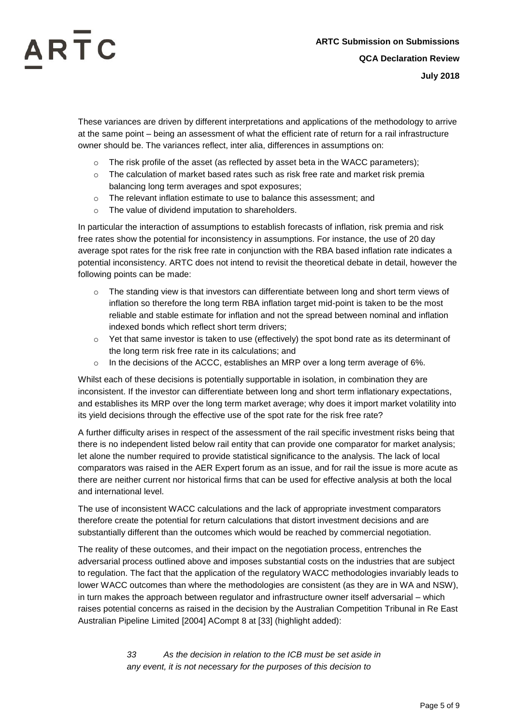These variances are driven by different interpretations and applications of the methodology to arrive at the same point – being an assessment of what the efficient rate of return for a rail infrastructure owner should be. The variances reflect, inter alia, differences in assumptions on:

- $\circ$  The risk profile of the asset (as reflected by asset beta in the WACC parameters);
- $\circ$  The calculation of market based rates such as risk free rate and market risk premia balancing long term averages and spot exposures;
- $\circ$  The relevant inflation estimate to use to balance this assessment; and
- o The value of dividend imputation to shareholders.

In particular the interaction of assumptions to establish forecasts of inflation, risk premia and risk free rates show the potential for inconsistency in assumptions. For instance, the use of 20 day average spot rates for the risk free rate in conjunction with the RBA based inflation rate indicates a potential inconsistency. ARTC does not intend to revisit the theoretical debate in detail, however the following points can be made:

- $\circ$  The standing view is that investors can differentiate between long and short term views of inflation so therefore the long term RBA inflation target mid-point is taken to be the most reliable and stable estimate for inflation and not the spread between nominal and inflation indexed bonds which reflect short term drivers;
- $\circ$  Yet that same investor is taken to use (effectively) the spot bond rate as its determinant of the long term risk free rate in its calculations; and
- $\circ$  In the decisions of the ACCC, establishes an MRP over a long term average of 6%.

Whilst each of these decisions is potentially supportable in isolation, in combination they are inconsistent. If the investor can differentiate between long and short term inflationary expectations, and establishes its MRP over the long term market average; why does it import market volatility into its yield decisions through the effective use of the spot rate for the risk free rate?

A further difficulty arises in respect of the assessment of the rail specific investment risks being that there is no independent listed below rail entity that can provide one comparator for market analysis; let alone the number required to provide statistical significance to the analysis. The lack of local comparators was raised in the AER Expert forum as an issue, and for rail the issue is more acute as there are neither current nor historical firms that can be used for effective analysis at both the local and international level.

The use of inconsistent WACC calculations and the lack of appropriate investment comparators therefore create the potential for return calculations that distort investment decisions and are substantially different than the outcomes which would be reached by commercial negotiation.

The reality of these outcomes, and their impact on the negotiation process, entrenches the adversarial process outlined above and imposes substantial costs on the industries that are subject to regulation. The fact that the application of the regulatory WACC methodologies invariably leads to lower WACC outcomes than where the methodologies are consistent (as they are in WA and NSW), in turn makes the approach between regulator and infrastructure owner itself adversarial – which raises potential concerns as raised in the decision by the Australian Competition Tribunal in Re East Australian Pipeline Limited [2004] ACompt 8 at [33] (highlight added):

> *33 As the decision in relation to the ICB must be set aside in any event, it is not necessary for the purposes of this decision to*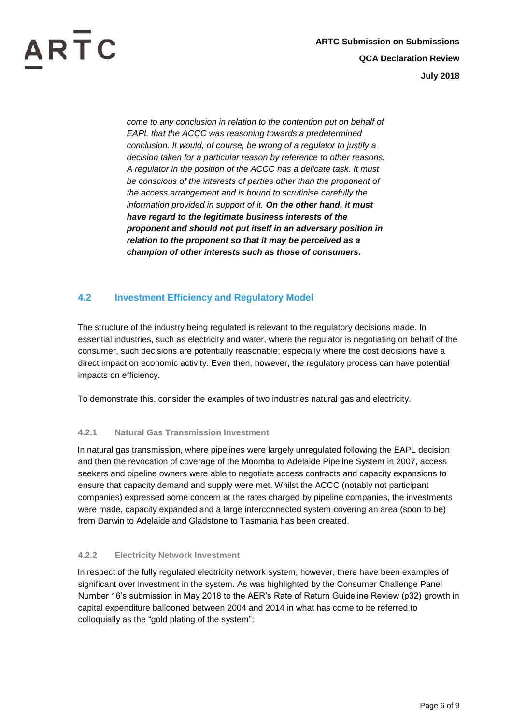*come to any conclusion in relation to the contention put on behalf of EAPL that the ACCC was reasoning towards a predetermined conclusion. It would, of course, be wrong of a regulator to justify a decision taken for a particular reason by reference to other reasons. A regulator in the position of the ACCC has a delicate task. It must be conscious of the interests of parties other than the proponent of the access arrangement and is bound to scrutinise carefully the information provided in support of it. On the other hand, it must have regard to the legitimate business interests of the proponent and should not put itself in an adversary position in relation to the proponent so that it may be perceived as a champion of other interests such as those of consumers.*

### **4.2 Investment Efficiency and Regulatory Model**

The structure of the industry being regulated is relevant to the regulatory decisions made. In essential industries, such as electricity and water, where the regulator is negotiating on behalf of the consumer, such decisions are potentially reasonable; especially where the cost decisions have a direct impact on economic activity. Even then, however, the regulatory process can have potential impacts on efficiency.

To demonstrate this, consider the examples of two industries natural gas and electricity.

#### **4.2.1 Natural Gas Transmission Investment**

In natural gas transmission, where pipelines were largely unregulated following the EAPL decision and then the revocation of coverage of the Moomba to Adelaide Pipeline System in 2007, access seekers and pipeline owners were able to negotiate access contracts and capacity expansions to ensure that capacity demand and supply were met. Whilst the ACCC (notably not participant companies) expressed some concern at the rates charged by pipeline companies, the investments were made, capacity expanded and a large interconnected system covering an area (soon to be) from Darwin to Adelaide and Gladstone to Tasmania has been created.

#### **4.2.2 Electricity Network Investment**

In respect of the fully regulated electricity network system, however, there have been examples of significant over investment in the system. As was highlighted by the Consumer Challenge Panel Number 16's submission in May 2018 to the AER's Rate of Return Guideline Review (p32) growth in capital expenditure ballooned between 2004 and 2014 in what has come to be referred to colloquially as the "gold plating of the system":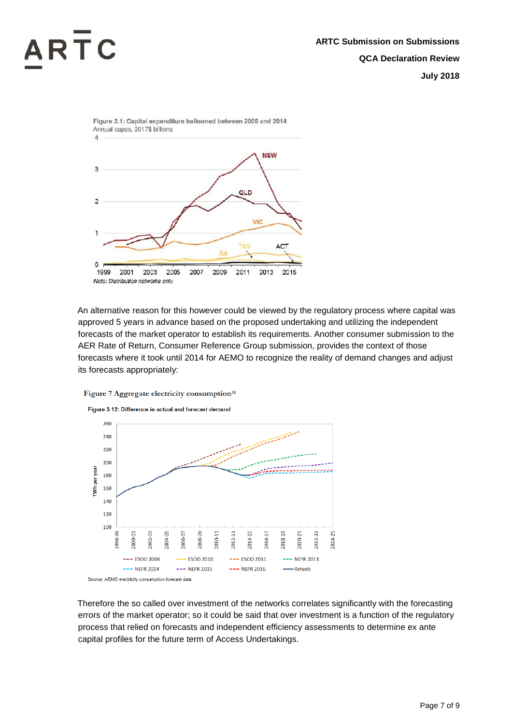

An alternative reason for this however could be viewed by the regulatory process where capital was approved 5 years in advance based on the proposed undertaking and utilizing the independent forecasts of the market operator to establish its requirements. Another consumer submission to the AER Rate of Return, Consumer Reference Group submission, provides the context of those forecasts where it took until 2014 for AEMO to recognize the reality of demand changes and adjust its forecasts appropriately:





Therefore the so called over investment of the networks correlates significantly with the forecasting errors of the market operator; so it could be said that over investment is a function of the regulatory process that relied on forecasts and independent efficiency assessments to determine ex ante capital profiles for the future term of Access Undertakings.

Figure 3.12: Difference in actual and forecast demand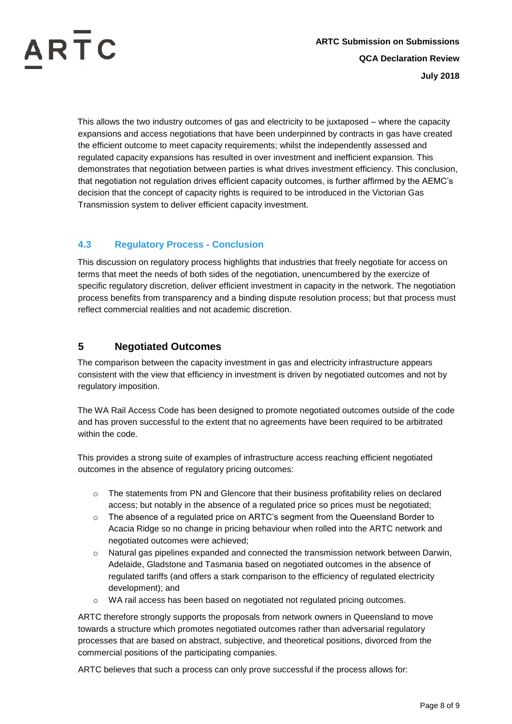

This allows the two industry outcomes of gas and electricity to be juxtaposed – where the capacity expansions and access negotiations that have been underpinned by contracts in gas have created the efficient outcome to meet capacity requirements; whilst the independently assessed and regulated capacity expansions has resulted in over investment and inefficient expansion. This demonstrates that negotiation between parties is what drives investment efficiency. This conclusion, that negotiation not regulation drives efficient capacity outcomes, is further affirmed by the AEMC's decision that the concept of capacity rights is required to be introduced in the Victorian Gas Transmission system to deliver efficient capacity investment.

### **4.3 Regulatory Process - Conclusion**

This discussion on regulatory process highlights that industries that freely negotiate for access on terms that meet the needs of both sides of the negotiation, unencumbered by the exercize of specific regulatory discretion, deliver efficient investment in capacity in the network. The negotiation process benefits from transparency and a binding dispute resolution process; but that process must reflect commercial realities and not academic discretion.

### **5 Negotiated Outcomes**

The comparison between the capacity investment in gas and electricity infrastructure appears consistent with the view that efficiency in investment is driven by negotiated outcomes and not by regulatory imposition.

The WA Rail Access Code has been designed to promote negotiated outcomes outside of the code and has proven successful to the extent that no agreements have been required to be arbitrated within the code.

This provides a strong suite of examples of infrastructure access reaching efficient negotiated outcomes in the absence of regulatory pricing outcomes:

- o The statements from PN and Glencore that their business profitability relies on declared access; but notably in the absence of a regulated price so prices must be negotiated;
- o The absence of a regulated price on ARTC's segment from the Queensland Border to Acacia Ridge so no change in pricing behaviour when rolled into the ARTC network and negotiated outcomes were achieved;
- $\circ$  Natural gas pipelines expanded and connected the transmission network between Darwin, Adelaide, Gladstone and Tasmania based on negotiated outcomes in the absence of regulated tariffs (and offers a stark comparison to the efficiency of regulated electricity development); and
- o WA rail access has been based on negotiated not regulated pricing outcomes.

ARTC therefore strongly supports the proposals from network owners in Queensland to move towards a structure which promotes negotiated outcomes rather than adversarial regulatory processes that are based on abstract, subjective, and theoretical positions, divorced from the commercial positions of the participating companies.

ARTC believes that such a process can only prove successful if the process allows for: